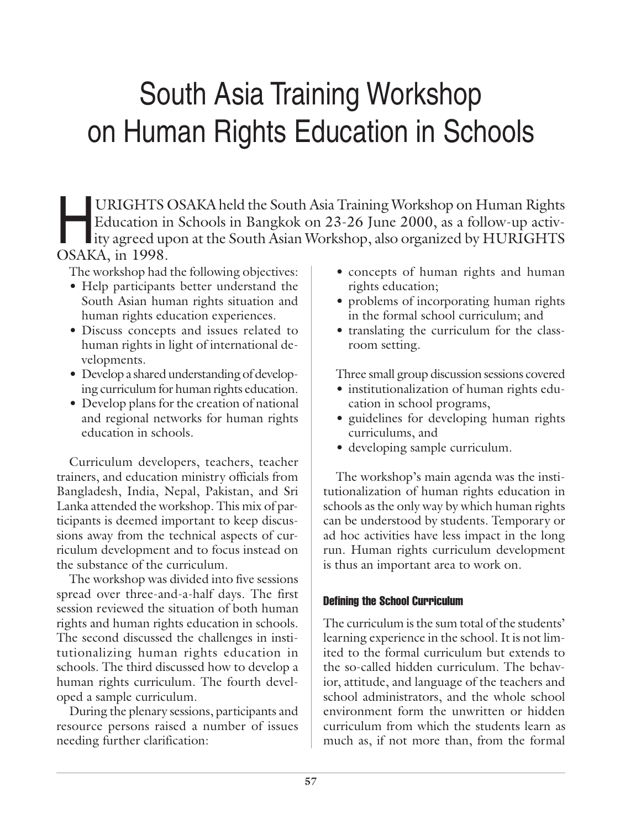# South Asia Training Workshop on Human Rights Education in Schools

URIGHTS OSAKA held the South Asia Training Workshop on Human Rights<br>Education in Schools in Bangkok on 23-26 June 2000, as a follow-up activ-<br>ity agreed upon at the South Asian Workshop, also organized by HURIGHTS<br>OSAKA in Education in Schools in Bangkok on 23-26 June 2000, as a follow-up activity agreed upon at the South Asian Workshop, also organized by HURIGHTS OSAKA, in 1998.

The workshop had the following objectives:

- Help participants better understand the South Asian human rights situation and human rights education experiences.
- Discuss concepts and issues related to human rights in light of international developments.
- Develop a shared understanding of developing curriculum for human rights education.
- Develop plans for the creation of national and regional networks for human rights education in schools.

Curriculum developers, teachers, teacher trainers, and education ministry officials from Bangladesh, India, Nepal, Pakistan, and Sri Lanka attended the workshop. This mix of participants is deemed important to keep discussions away from the technical aspects of curriculum development and to focus instead on the substance of the curriculum.

The workshop was divided into five sessions spread over three-and-a-half days. The first session reviewed the situation of both human rights and human rights education in schools. The second discussed the challenges in institutionalizing human rights education in schools. The third discussed how to develop a human rights curriculum. The fourth developed a sample curriculum.

During the plenary sessions, participants and resource persons raised a number of issues needing further clarification:

- concepts of human rights and human rights education;
- problems of incorporating human rights in the formal school curriculum; and
- translating the curriculum for the classroom setting.

Three small group discussion sessions covered

- institutionalization of human rights education in school programs,
- guidelines for developing human rights curriculums, and
- developing sample curriculum.

The workshop's main agenda was the institutionalization of human rights education in schools as the only way by which human rights can be understood by students. Temporary or ad hoc activities have less impact in the long run. Human rights curriculum development is thus an important area to work on.

# Defining the School Curriculum

The curriculum is the sum total of the students' learning experience in the school. It is not limited to the formal curriculum but extends to the so-called hidden curriculum. The behavior, attitude, and language of the teachers and school administrators, and the whole school environment form the unwritten or hidden curriculum from which the students learn as much as, if not more than, from the formal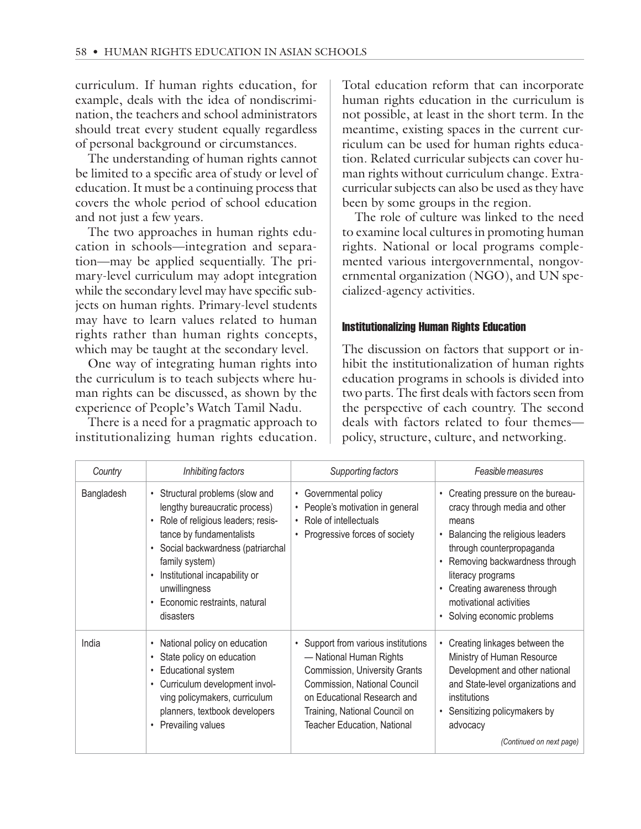curriculum. If human rights education, for example, deals with the idea of nondiscrimination, the teachers and school administrators should treat every student equally regardless of personal background or circumstances.

The understanding of human rights cannot be limited to a specific area of study or level of education. It must be a continuing process that covers the whole period of school education and not just a few years.

The two approaches in human rights education in schools—integration and separation—may be applied sequentially. The primary-level curriculum may adopt integration while the secondary level may have specific subjects on human rights. Primary-level students may have to learn values related to human rights rather than human rights concepts, which may be taught at the secondary level.

One way of integrating human rights into the curriculum is to teach subjects where human rights can be discussed, as shown by the experience of People's Watch Tamil Nadu.

There is a need for a pragmatic approach to institutionalizing human rights education.

Total education reform that can incorporate human rights education in the curriculum is not possible, at least in the short term. In the meantime, existing spaces in the current curriculum can be used for human rights education. Related curricular subjects can cover human rights without curriculum change. Extracurricular subjects can also be used as they have been by some groups in the region.

The role of culture was linked to the need to examine local cultures in promoting human rights. National or local programs complemented various intergovernmental, nongovernmental organization (NGO), and UN specialized-agency activities.

#### Institutionalizing Human Rights Education

The discussion on factors that support or inhibit the institutionalization of human rights education programs in schools is divided into two parts. The first deals with factors seen from the perspective of each country. The second deals with factors related to four themes policy, structure, culture, and networking.

| Country    | Inhibiting factors                                                                                                                                                                                                                                                                                | Supporting factors                                                                                                                                                                                                                         | Feasible measures                                                                                                                                                                                                                                                                          |
|------------|---------------------------------------------------------------------------------------------------------------------------------------------------------------------------------------------------------------------------------------------------------------------------------------------------|--------------------------------------------------------------------------------------------------------------------------------------------------------------------------------------------------------------------------------------------|--------------------------------------------------------------------------------------------------------------------------------------------------------------------------------------------------------------------------------------------------------------------------------------------|
| Bangladesh | Structural problems (slow and<br>$\bullet$<br>lengthy bureaucratic process)<br>Role of religious leaders; resis-<br>tance by fundamentalists<br>Social backwardness (patriarchal<br>family system)<br>Institutional incapability or<br>unwillingness<br>Economic restraints, natural<br>disasters | Governmental policy<br>People's motivation in general<br>$\bullet$<br>Role of intellectuals<br>$\bullet$<br>Progressive forces of society                                                                                                  | • Creating pressure on the bureau-<br>cracy through media and other<br>means<br>Balancing the religious leaders<br>through counterpropaganda<br>Removing backwardness through<br>literacy programs<br>Creating awareness through<br>motivational activities<br>• Solving economic problems |
| India      | National policy on education<br>State policy on education<br>Educational system<br>$\bullet$<br>Curriculum development invol-<br>ving policymakers, curriculum<br>planners, textbook developers<br>Prevailing values<br>$\bullet$                                                                 | Support from various institutions<br>- National Human Rights<br><b>Commission, University Grants</b><br>Commission, National Council<br>on Educational Research and<br>Training, National Council on<br><b>Teacher Education, National</b> | Creating linkages between the<br>Ministry of Human Resource<br>Development and other national<br>and State-level organizations and<br>institutions<br>• Sensitizing policymakers by<br>advocacy<br>(Continued on next page)                                                                |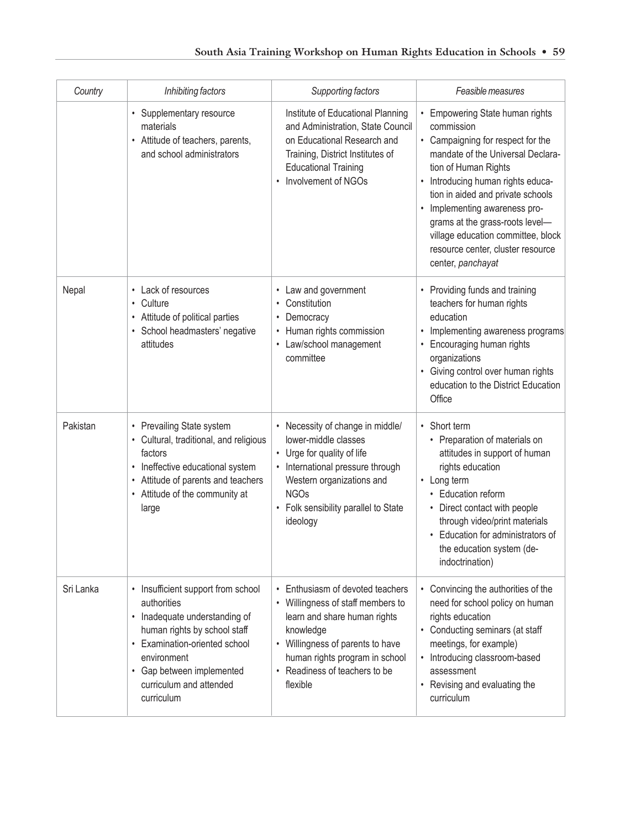| Country   | Inhibiting factors                                                                                                                                                                                                                       | Supporting factors                                                                                                                                                                                                                                          | Feasible measures                                                                                                                                                                                                                                                                                                                                                                       |
|-----------|------------------------------------------------------------------------------------------------------------------------------------------------------------------------------------------------------------------------------------------|-------------------------------------------------------------------------------------------------------------------------------------------------------------------------------------------------------------------------------------------------------------|-----------------------------------------------------------------------------------------------------------------------------------------------------------------------------------------------------------------------------------------------------------------------------------------------------------------------------------------------------------------------------------------|
|           | • Supplementary resource<br>materials<br>• Attitude of teachers, parents,<br>and school administrators                                                                                                                                   | Institute of Educational Planning<br>and Administration, State Council<br>on Educational Research and<br>Training, District Institutes of<br><b>Educational Training</b><br>Involvement of NGOs<br>$\bullet$                                                | Empowering State human rights<br>commission<br>• Campaigning for respect for the<br>mandate of the Universal Declara-<br>tion of Human Rights<br>Introducing human rights educa-<br>tion in aided and private schools<br>Implementing awareness pro-<br>grams at the grass-roots level-<br>village education committee, block<br>resource center, cluster resource<br>center, panchayat |
| Nepal     | • Lack of resources<br>Culture<br>$\bullet$<br>• Attitude of political parties<br>· School headmasters' negative<br>attitudes                                                                                                            | Law and government<br>Constitution<br>$\bullet$<br>Democracy<br>$\bullet$<br>Human rights commission<br>٠<br>Law/school management<br>$\bullet$<br>committee                                                                                                | Providing funds and training<br>teachers for human rights<br>education<br>Implementing awareness programs<br>$\bullet$<br>Encouraging human rights<br>organizations<br>Giving control over human rights<br>education to the District Education<br>Office                                                                                                                                |
| Pakistan  | • Prevailing State system<br>• Cultural, traditional, and religious<br>factors<br>• Ineffective educational system<br>• Attitude of parents and teachers<br>• Attitude of the community at<br>large                                      | Necessity of change in middle/<br>lower-middle classes<br>• Urge for quality of life<br>International pressure through<br>Western organizations and<br><b>NGOs</b><br>Folk sensibility parallel to State<br>ideology                                        | • Short term<br>• Preparation of materials on<br>attitudes in support of human<br>rights education<br>• Long term<br>• Education reform<br>• Direct contact with people<br>through video/print materials<br>• Education for administrators of<br>the education system (de-<br>indoctrination)                                                                                           |
| Sri Lanka | • Insufficient support from school<br>authorities<br>• Inadequate understanding of<br>human rights by school staff<br>• Examination-oriented school<br>environment<br>• Gap between implemented<br>curriculum and attended<br>curriculum | Enthusiasm of devoted teachers<br>$\bullet$<br>• Willingness of staff members to<br>learn and share human rights<br>knowledge<br>• Willingness of parents to have<br>human rights program in school<br>Readiness of teachers to be<br>$\bullet$<br>flexible | Convincing the authorities of the<br>need for school policy on human<br>rights education<br>Conducting seminars (at staff<br>meetings, for example)<br>Introducing classroom-based<br>assessment<br>Revising and evaluating the<br>curriculum                                                                                                                                           |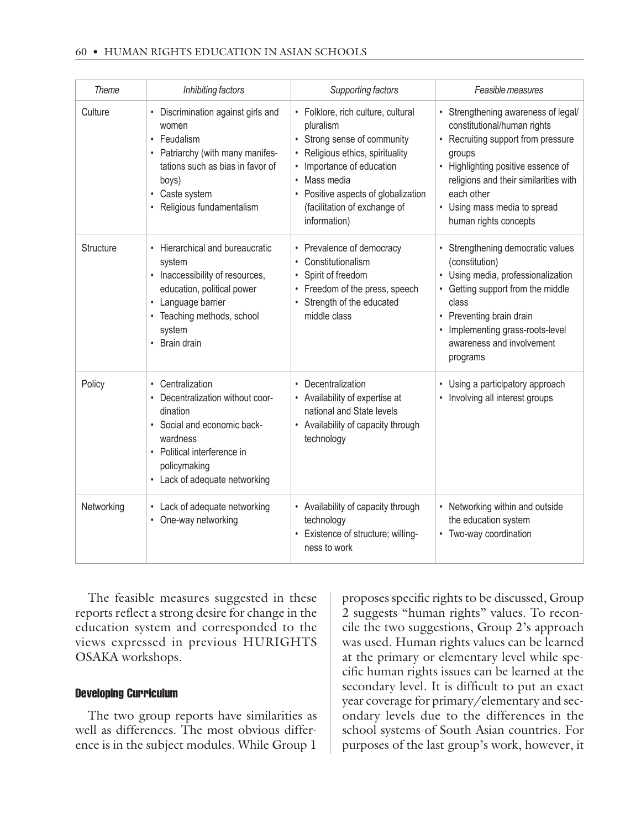#### 60 • HUMAN RIGHTS EDUCATION IN ASIAN SCHOOLS

| <b>Theme</b> | Inhibiting factors                                                                                                                                                                          | Supporting factors                                                                                                                                                                                                                                          | Feasible measures                                                                                                                                                                                                                                                        |
|--------------|---------------------------------------------------------------------------------------------------------------------------------------------------------------------------------------------|-------------------------------------------------------------------------------------------------------------------------------------------------------------------------------------------------------------------------------------------------------------|--------------------------------------------------------------------------------------------------------------------------------------------------------------------------------------------------------------------------------------------------------------------------|
| Culture      | • Discrimination against girls and<br>women<br>• Feudalism<br>• Patriarchy (with many manifes-<br>tations such as bias in favor of<br>boys)<br>• Caste system<br>• Religious fundamentalism | • Folklore, rich culture, cultural<br>pluralism<br>• Strong sense of community<br>Religious ethics, spirituality<br>Importance of education<br>Mass media<br>$\bullet$<br>Positive aspects of globalization<br>(facilitation of exchange of<br>information) | • Strengthening awareness of legal/<br>constitutional/human rights<br>• Recruiting support from pressure<br>groups<br>• Highlighting positive essence of<br>religions and their similarities with<br>each other<br>• Using mass media to spread<br>human rights concepts |
| Structure    | • Hierarchical and bureaucratic<br>system<br>• Inaccessibility of resources,<br>education, political power<br>• Language barrier<br>• Teaching methods, school<br>system<br>• Brain drain   | • Prevalence of democracy<br>Constitutionalism<br>$\bullet$<br>Spirit of freedom<br>$\bullet$<br>• Freedom of the press, speech<br>Strength of the educated<br>middle class                                                                                 | • Strengthening democratic values<br>(constitution)<br>• Using media, professionalization<br>• Getting support from the middle<br>class<br>• Preventing brain drain<br>• Implementing grass-roots-level<br>awareness and involvement<br>programs                         |
| Policy       | • Centralization<br>• Decentralization without coor-<br>dination<br>• Social and economic back-<br>wardness<br>• Political interference in<br>policymaking<br>• Lack of adequate networking | • Decentralization<br>• Availability of expertise at<br>national and State levels<br>• Availability of capacity through<br>technology                                                                                                                       | • Using a participatory approach<br>• Involving all interest groups                                                                                                                                                                                                      |
| Networking   | • Lack of adequate networking<br>• One-way networking                                                                                                                                       | • Availability of capacity through<br>technology<br>• Existence of structure; willing-<br>ness to work                                                                                                                                                      | • Networking within and outside<br>the education system<br>• Two-way coordination                                                                                                                                                                                        |

The feasible measures suggested in these reports reflect a strong desire for change in the education system and corresponded to the views expressed in previous HURIGHTS OSAKA workshops.

### Developing Curriculum

The two group reports have similarities as well as differences. The most obvious difference is in the subject modules. While Group 1

proposes specific rights to be discussed, Group 2 suggests "human rights" values. To reconcile the two suggestions, Group 2's approach was used. Human rights values can be learned at the primary or elementary level while specific human rights issues can be learned at the secondary level. It is difficult to put an exact year coverage for primary/elementary and secondary levels due to the differences in the school systems of South Asian countries. For purposes of the last group's work, however, it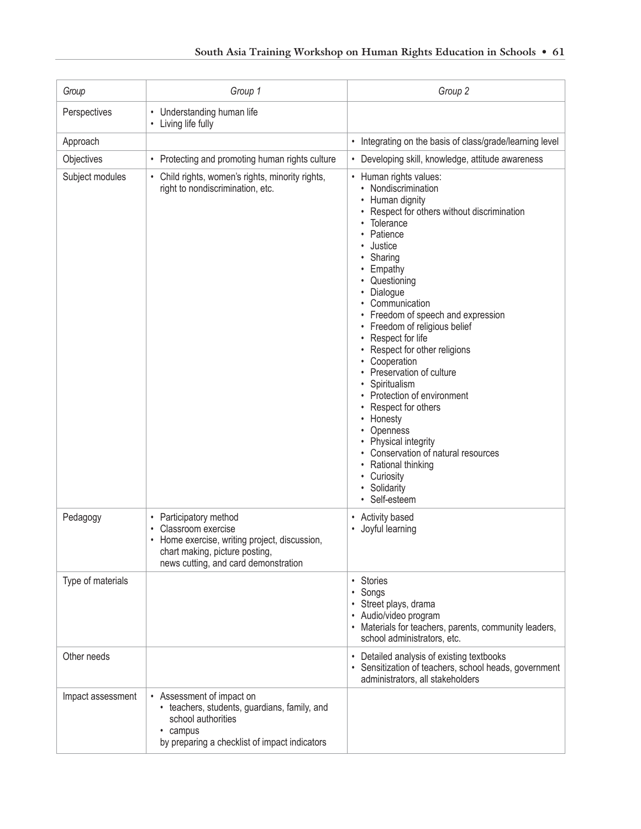| Group             | Group 1                                                                                                                                                                 | Group 2                                                                                                                                                                                                                                                                                                                                                                                                                                                                                                                                                                                                                               |
|-------------------|-------------------------------------------------------------------------------------------------------------------------------------------------------------------------|---------------------------------------------------------------------------------------------------------------------------------------------------------------------------------------------------------------------------------------------------------------------------------------------------------------------------------------------------------------------------------------------------------------------------------------------------------------------------------------------------------------------------------------------------------------------------------------------------------------------------------------|
| Perspectives      | • Understanding human life<br>• Living life fully                                                                                                                       |                                                                                                                                                                                                                                                                                                                                                                                                                                                                                                                                                                                                                                       |
| Approach          |                                                                                                                                                                         | • Integrating on the basis of class/grade/learning level                                                                                                                                                                                                                                                                                                                                                                                                                                                                                                                                                                              |
| Objectives        | • Protecting and promoting human rights culture                                                                                                                         | Developing skill, knowledge, attitude awareness<br>٠                                                                                                                                                                                                                                                                                                                                                                                                                                                                                                                                                                                  |
| Subject modules   | • Child rights, women's rights, minority rights,<br>right to nondiscrimination, etc.                                                                                    | • Human rights values:<br>• Nondiscrimination<br>Human dignity<br>Respect for others without discrimination<br>Tolerance<br>Patience<br>Justice<br>• Sharing<br>• Empathy<br>• Questioning<br>• Dialogue<br>Communication<br>• Freedom of speech and expression<br>• Freedom of religious belief<br>• Respect for life<br>• Respect for other religions<br>Cooperation<br>• Preservation of culture<br>• Spiritualism<br>• Protection of environment<br>Respect for others<br>• Honesty<br>Openness<br>Physical integrity<br>Conservation of natural resources<br>• Rational thinking<br>• Curiosity<br>• Solidarity<br>• Self-esteem |
| Pedagogy          | • Participatory method<br>Classroom exercise<br>• Home exercise, writing project, discussion,<br>chart making, picture posting,<br>news cutting, and card demonstration | Activity based<br>٠<br>Joyful learning<br>$\bullet$                                                                                                                                                                                                                                                                                                                                                                                                                                                                                                                                                                                   |
| Type of materials |                                                                                                                                                                         | Stories<br>$\bullet$<br>• Songs<br>· Street plays, drama<br>• Audio/video program<br>• Materials for teachers, parents, community leaders,<br>school administrators, etc.                                                                                                                                                                                                                                                                                                                                                                                                                                                             |
| Other needs       |                                                                                                                                                                         | Detailed analysis of existing textbooks<br>٠<br>• Sensitization of teachers, school heads, government<br>administrators, all stakeholders                                                                                                                                                                                                                                                                                                                                                                                                                                                                                             |
| Impact assessment | • Assessment of impact on<br>• teachers, students, guardians, family, and<br>school authorities<br>• campus<br>by preparing a checklist of impact indicators            |                                                                                                                                                                                                                                                                                                                                                                                                                                                                                                                                                                                                                                       |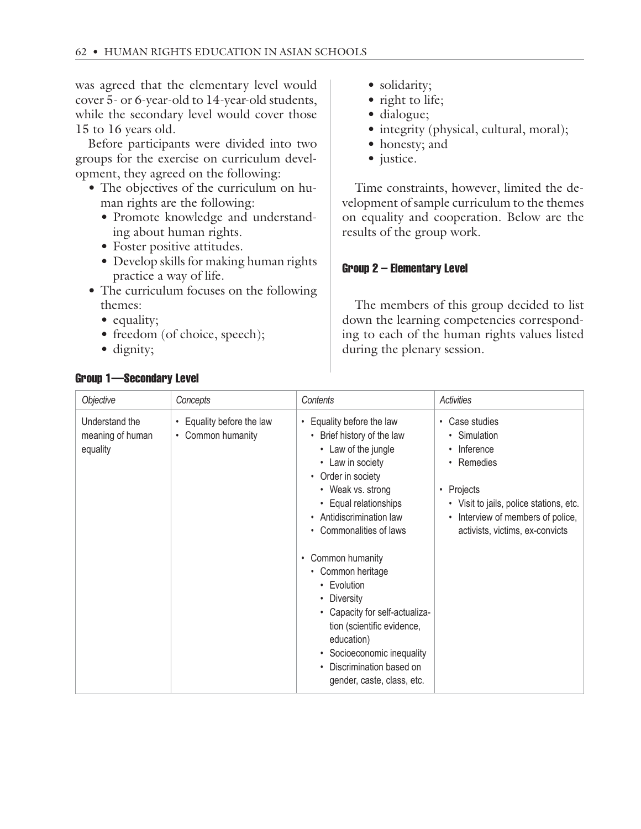was agreed that the elementary level would cover 5- or 6-year-old to 14-year-old students, while the secondary level would cover those 15 to 16 years old.

Before participants were divided into two groups for the exercise on curriculum development, they agreed on the following:

- The objectives of the curriculum on human rights are the following:
	- Promote knowledge and understanding about human rights.
	- Foster positive attitudes.
	- Develop skills for making human rights practice a way of life.
- The curriculum focuses on the following themes:
	- equality;
	- freedom (of choice, speech);
	- dignity;
- solidarity;
- right to life;
- dialogue;
- integrity (physical, cultural, moral);
- honesty; and
- justice.

Time constraints, however, limited the development of sample curriculum to the themes on equality and cooperation. Below are the results of the group work.

## Group 2 – Elementary Level

The members of this group decided to list down the learning competencies corresponding to each of the human rights values listed during the plenary session.

| Objective                                      | Concepts                                       | Contents                                                                                                                                                                                                                                                                 | Activities                                                                                                                                                                                                         |
|------------------------------------------------|------------------------------------------------|--------------------------------------------------------------------------------------------------------------------------------------------------------------------------------------------------------------------------------------------------------------------------|--------------------------------------------------------------------------------------------------------------------------------------------------------------------------------------------------------------------|
| Understand the<br>meaning of human<br>equality | • Equality before the law<br>• Common humanity | Equality before the law<br>$\bullet$<br>• Brief history of the law<br>• Law of the jungle<br>• Law in society<br>• Order in society<br>• Weak vs. strong<br>• Equal relationships<br>• Antidiscrimination law<br>• Commonalities of laws<br>Common humanity<br>$\bullet$ | Case studies<br>$\bullet$<br>• Simulation<br>• Inference<br>• Remedies<br>Projects<br>$\bullet$<br>• Visit to jails, police stations, etc.<br>• Interview of members of police,<br>activists, victims, ex-convicts |
|                                                |                                                | • Common heritage<br>• Evolution<br>• Diversity<br>• Capacity for self-actualiza-<br>tion (scientific evidence,<br>education)<br>Socioeconomic inequality<br>Discrimination based on<br>gender, caste, class, etc.                                                       |                                                                                                                                                                                                                    |

# Group 1—Secondary Level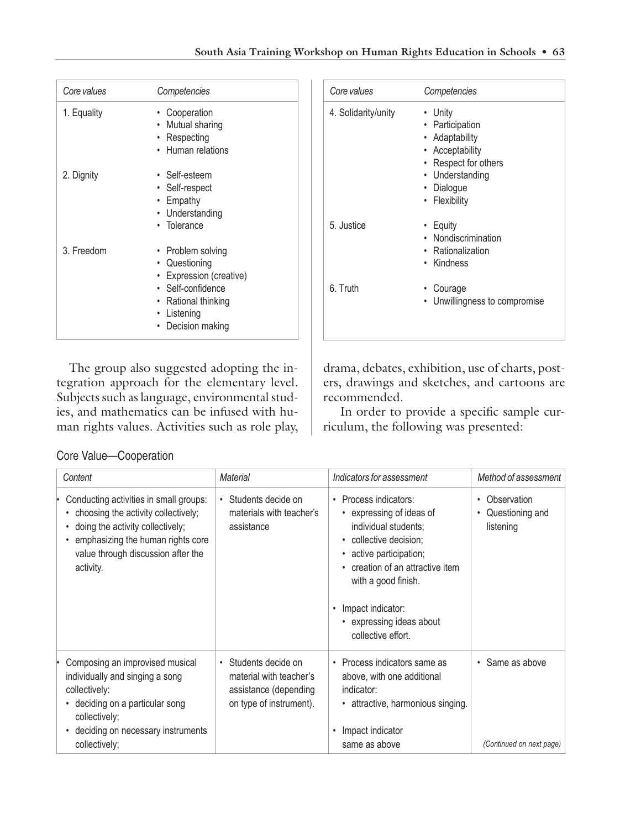| Core values | Competencies                                                                                                                                |
|-------------|---------------------------------------------------------------------------------------------------------------------------------------------|
| 1. Equality | • Cooperation<br>• Mutual sharing<br>• Respecting<br>• Human relations                                                                      |
| 2. Dignity  | • Self-esteem<br>• Self-respect<br>• Empathy<br>• Understanding<br>• Tolerance                                                              |
| 3. Freedom  | • Problem solving<br>• Questioning<br>• Expression (creative)<br>• Self-confidence<br>• Rational thinking<br>• Listening<br>Decision making |

| Core values         | Competencies                                                                                                                              |
|---------------------|-------------------------------------------------------------------------------------------------------------------------------------------|
| 4. Solidarity/unity | • Unity<br>• Participation<br>• Adaptability<br>• Acceptability<br>• Respect for others<br>• Understanding<br>• Dialogue<br>• Flexibility |
| 5. Justice          | • Equity<br>• Nondiscrimination<br>• Rationalization<br>• Kindness                                                                        |
| 6. Truth            | • Courage<br>• Unwillingness to compromise                                                                                                |

The group also suggested adopting the integration approach for the elementary level. Subjects such as language, environmental studies, and mathematics can be infused with human rights values. Activities such as role play, drama, debates, exhibition, use of charts, posters, drawings and sketches, and cartoons are recommended.

 In order to provide a specific sample curriculum, the following was presented:

|  | Core Value-Cooperation |  |  |
|--|------------------------|--|--|
|--|------------------------|--|--|

| Content                                                                                                                                                                                                   | Material                                                                                            | Indicators for assessment                                                                                                                                                                                                                                                                | Method of assessment                        |
|-----------------------------------------------------------------------------------------------------------------------------------------------------------------------------------------------------------|-----------------------------------------------------------------------------------------------------|------------------------------------------------------------------------------------------------------------------------------------------------------------------------------------------------------------------------------------------------------------------------------------------|---------------------------------------------|
| Conducting activities in small groups:<br>choosing the activity collectively;<br>doing the activity collectively;<br>emphasizing the human rights core<br>value through discussion after the<br>activity. | • Students decide on<br>materials with teacher's<br>assistance                                      | Process indicators:<br>$\bullet$<br>• expressing of ideas of<br>individual students;<br>• collective decision;<br>• active participation;<br>• creation of an attractive item<br>with a good finish.<br>Impact indicator:<br>$\bullet$<br>• expressing ideas about<br>collective effort. | Observation<br>Questioning and<br>listening |
| Composing an improvised musical<br>individually and singing a song<br>collectively:<br>deciding on a particular song<br>collectively;<br>deciding on necessary instruments<br>$\bullet$<br>collectively;  | • Students decide on<br>material with teacher's<br>assistance (depending<br>on type of instrument). | Process indicators same as<br>$\bullet$<br>above, with one additional<br>indicator:<br>• attractive, harmonious singing.<br>Impact indicator<br>$\bullet$<br>same as above                                                                                                               | • Same as above<br>(Continued on next page) |